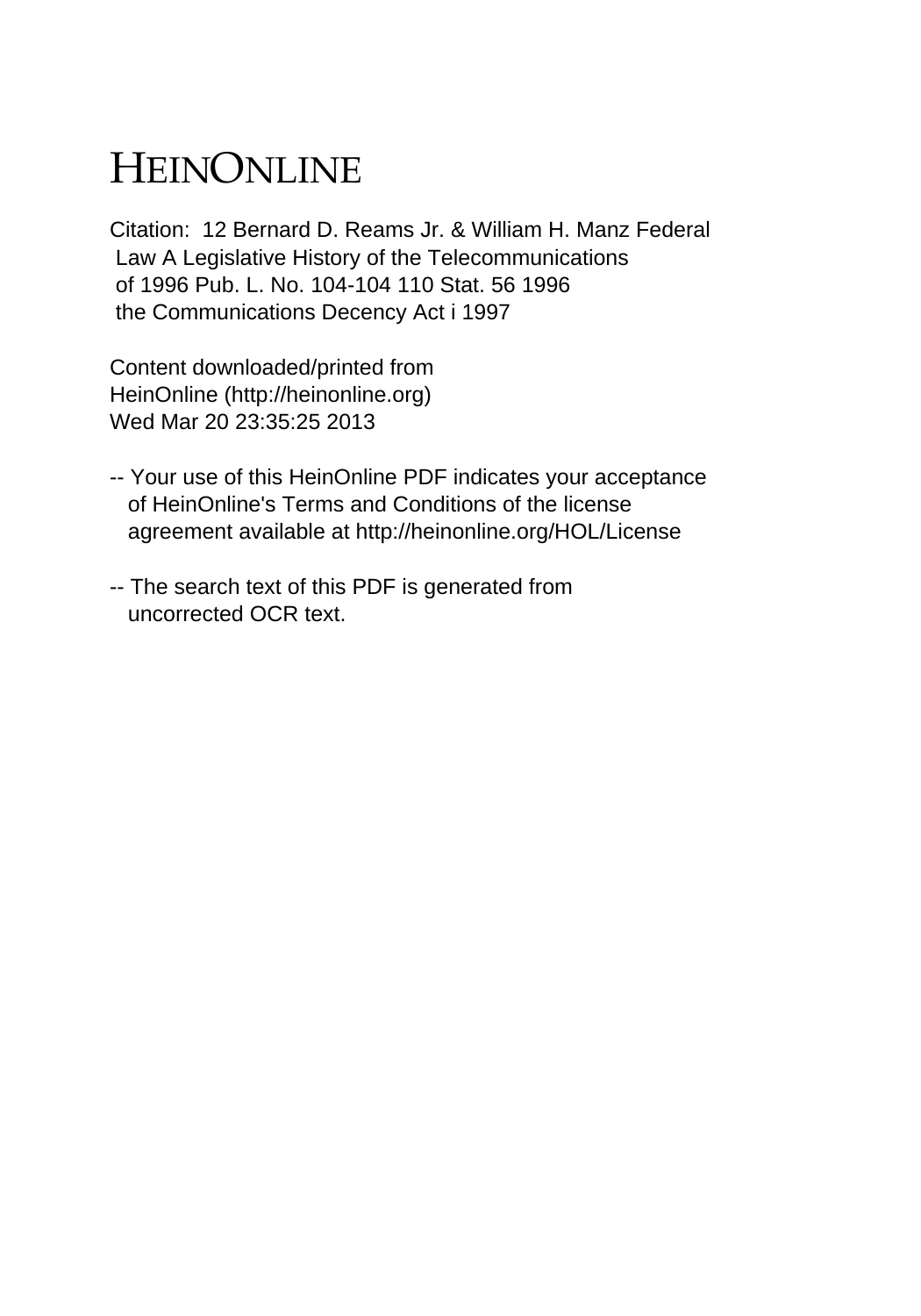## HEINONLINE

Citation: 12 Bernard D. Reams Jr. & William H. Manz Federal Law A Legislative History of the Telecommunications of 1996 Pub. L. No. 104-104 110 Stat. 56 1996 the Communications Decency Act i 1997

Content downloaded/printed from HeinOnline (http://heinonline.org) Wed Mar 20 23:35:25 2013

- -- Your use of this HeinOnline PDF indicates your acceptance of HeinOnline's Terms and Conditions of the license agreement available at http://heinonline.org/HOL/License
- -- The search text of this PDF is generated from uncorrected OCR text.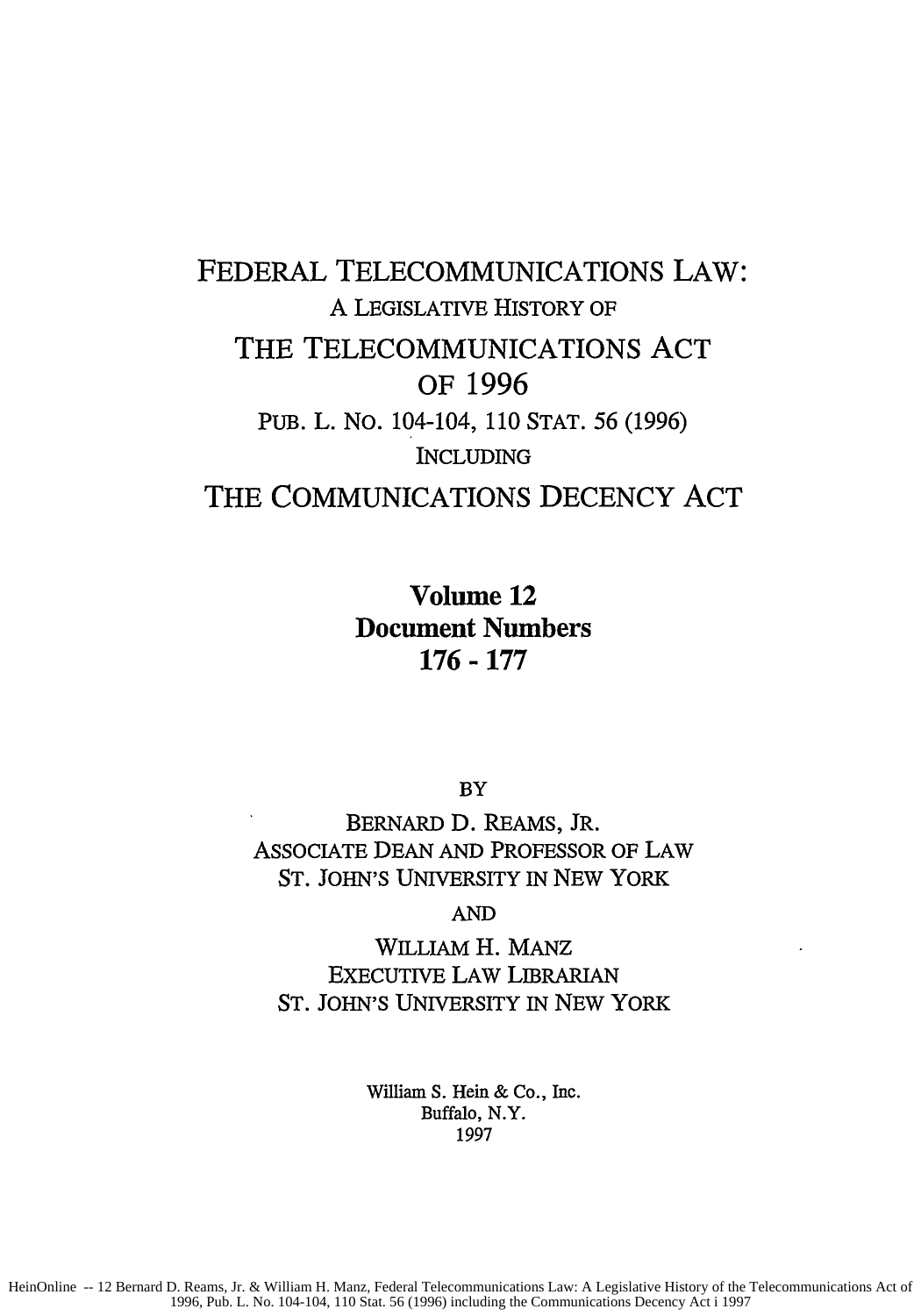## FEDERAL TELECOMMUNICATIONS LAW: A LEGISLATIVE HISTORY OF THE **TELECOMMUNICATIONS ACT** OF **1996** PUB. L. No. 104-104, 110 STAT. 56 (1996) INCLUDING THE COMMUNICATIONS **DECENCY ACT**

Volume 12 Document Numbers **176- 177**

BY

BERNARD D. REAMS, JR. ASSOCIATE DEAN AND PROFESSOR OF LAW ST. JOHN'S UNIVERSITY IN NEW YORK

AND

WILLIAM H. **MANZ** EXECUTIVE LAW LIBRARIAN ST. JOHN'S UNIVERSITY IN NEW YORK

> William S. Hein & Co., Inc. Buffalo, N.Y. 1997